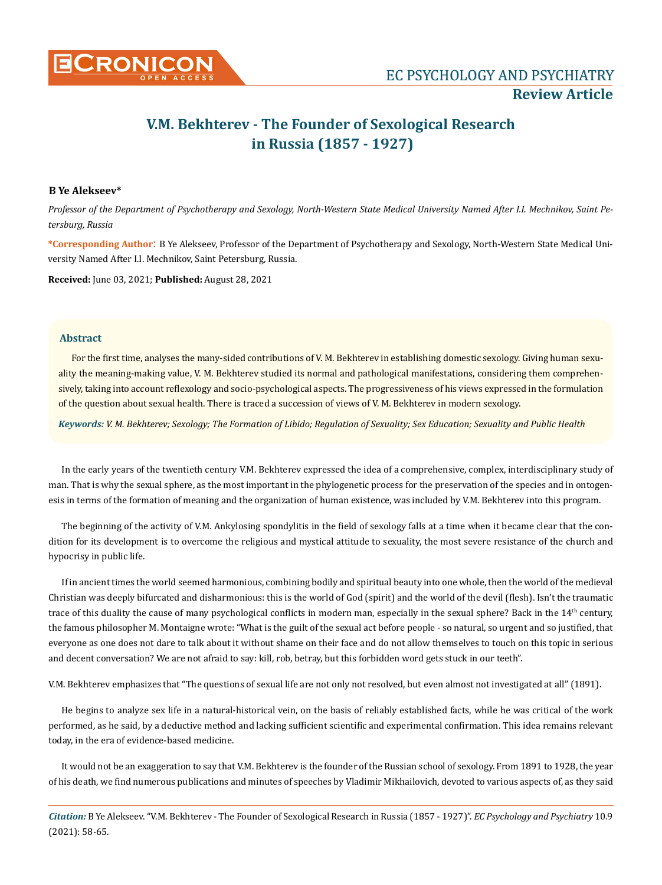

# **V.M. Bekhterev - The Founder of Sexological Research in Russia (1857 - 1927)**

# **B Ye Alekseev\***

*Professor of the Department of Psychotherapy and Sexology, North-Western State Medical University Named After I.I. Mechnikov, Saint Petersburg, Russia*

**\*Corresponding Author**: B Ye Alekseev, Professor of the Department of Psychotherapy and Sexology, North-Western State Medical University Named After I.I. Mechnikov, Saint Petersburg, Russia.

**Received:** June 03, 2021; **Published:** August 28, 2021

## **Abstract**

For the first time, analyses the many-sided contributions of V. M. Bekhterev in establishing domestic sexology. Giving human sexuality the meaning-making value, V. M. Bekhterev studied its normal and pathological manifestations, considering them comprehensively, taking into account reflexology and socio-psychological aspects. The progressiveness of his views expressed in the formulation of the question about sexual health. There is traced a succession of views of V. M. Bekhterev in modern sexology.

*Keywords: V. M. Bekhterev; Sexology; The Formation of Libido; Regulation of Sexuality; Sex Education; Sexuality and Public Health*

In the early years of the twentieth century V.M. Bekhterev expressed the idea of a comprehensive, complex, interdisciplinary study of man. That is why the sexual sphere, as the most important in the phylogenetic process for the preservation of the species and in ontogenesis in terms of the formation of meaning and the organization of human existence, was included by V.M. Bekhterev into this program.

The beginning of the activity of V.M. Ankylosing spondylitis in the field of sexology falls at a time when it became clear that the condition for its development is to overcome the religious and mystical attitude to sexuality, the most severe resistance of the church and hypocrisy in public life.

If in ancient times the world seemed harmonious, combining bodily and spiritual beauty into one whole, then the world of the medieval Christian was deeply bifurcated and disharmonious: this is the world of God (spirit) and the world of the devil (flesh). Isn't the traumatic trace of this duality the cause of many psychological conflicts in modern man, especially in the sexual sphere? Back in the 14<sup>th</sup> century, the famous philosopher M. Montaigne wrote: "What is the guilt of the sexual act before people - so natural, so urgent and so justified, that everyone as one does not dare to talk about it without shame on their face and do not allow themselves to touch on this topic in serious and decent conversation? We are not afraid to say: kill, rob, betray, but this forbidden word gets stuck in our teeth".

V.M. Bekhterev emphasizes that "The questions of sexual life are not only not resolved, but even almost not investigated at all" (1891).

He begins to analyze sex life in a natural-historical vein, on the basis of reliably established facts, while he was critical of the work performed, as he said, by a deductive method and lacking sufficient scientific and experimental confirmation. This idea remains relevant today, in the era of evidence-based medicine.

It would not be an exaggeration to say that V.M. Bekhterev is the founder of the Russian school of sexology. From 1891 to 1928, the year of his death, we find numerous publications and minutes of speeches by Vladimir Mikhailovich, devoted to various aspects of, as they said

*Citation:* B Ye Alekseev. "V.M. Bekhterev - The Founder of Sexological Research in Russia (1857 - 1927)". *EC Psychology and Psychiatry* 10.9 (2021): 58-65.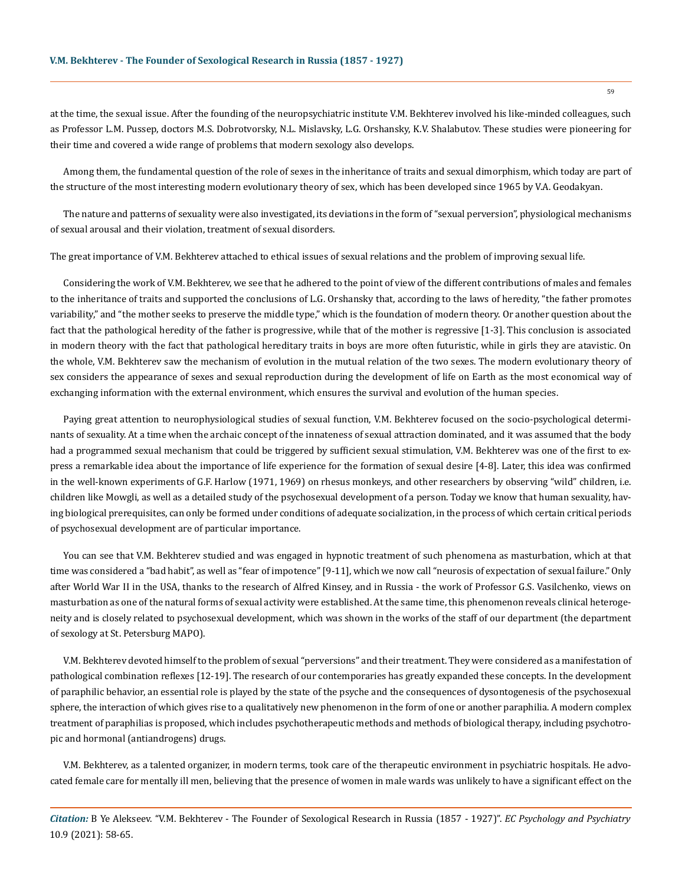at the time, the sexual issue. After the founding of the neuropsychiatric institute V.M. Bekhterev involved his like-minded colleagues, such as Professor L.M. Pussep, doctors M.S. Dobrotvorsky, N.L. Mislavsky, L.G. Orshansky, K.V. Shalabutov. These studies were pioneering for their time and covered a wide range of problems that modern sexology also develops.

Among them, the fundamental question of the role of sexes in the inheritance of traits and sexual dimorphism, which today are part of the structure of the most interesting modern evolutionary theory of sex, which has been developed since 1965 by V.A. Geodakyan.

The nature and patterns of sexuality were also investigated, its deviations in the form of "sexual perversion", physiological mechanisms of sexual arousal and their violation, treatment of sexual disorders.

The great importance of V.M. Bekhterev attached to ethical issues of sexual relations and the problem of improving sexual life.

Considering the work of V.M. Bekhterev, we see that he adhered to the point of view of the different contributions of males and females to the inheritance of traits and supported the conclusions of L.G. Orshansky that, according to the laws of heredity, "the father promotes variability," and "the mother seeks to preserve the middle type," which is the foundation of modern theory. Or another question about the fact that the pathological heredity of the father is progressive, while that of the mother is regressive [1-3]. This conclusion is associated in modern theory with the fact that pathological hereditary traits in boys are more often futuristic, while in girls they are atavistic. On the whole, V.M. Bekhterev saw the mechanism of evolution in the mutual relation of the two sexes. The modern evolutionary theory of sex considers the appearance of sexes and sexual reproduction during the development of life on Earth as the most economical way of exchanging information with the external environment, which ensures the survival and evolution of the human species.

Paying great attention to neurophysiological studies of sexual function, V.M. Bekhterev focused on the socio-psychological determinants of sexuality. At a time when the archaic concept of the innateness of sexual attraction dominated, and it was assumed that the body had a programmed sexual mechanism that could be triggered by sufficient sexual stimulation, V.M. Bekhterev was one of the first to express a remarkable idea about the importance of life experience for the formation of sexual desire [4-8]. Later, this idea was confirmed in the well-known experiments of G.F. Harlow (1971, 1969) on rhesus monkeys, and other researchers by observing "wild" children, i.e. children like Mowgli, as well as a detailed study of the psychosexual development of a person. Today we know that human sexuality, having biological prerequisites, can only be formed under conditions of adequate socialization, in the process of which certain critical periods of psychosexual development are of particular importance.

You can see that V.M. Bekhterev studied and was engaged in hypnotic treatment of such phenomena as masturbation, which at that time was considered a "bad habit", as well as "fear of impotence" [9-11], which we now call "neurosis of expectation of sexual failure." Only after World War II in the USA, thanks to the research of Alfred Kinsey, and in Russia - the work of Professor G.S. Vasilchenko, views on masturbation as one of the natural forms of sexual activity were established. At the same time, this phenomenon reveals clinical heterogeneity and is closely related to psychosexual development, which was shown in the works of the staff of our department (the department of sexology at St. Petersburg MAPO).

V.M. Bekhterev devoted himself to the problem of sexual "perversions" and their treatment. They were considered as a manifestation of pathological combination reflexes [12-19]. The research of our contemporaries has greatly expanded these concepts. In the development of paraphilic behavior, an essential role is played by the state of the psyche and the consequences of dysontogenesis of the psychosexual sphere, the interaction of which gives rise to a qualitatively new phenomenon in the form of one or another paraphilia. A modern complex treatment of paraphilias is proposed, which includes psychotherapeutic methods and methods of biological therapy, including psychotropic and hormonal (antiandrogens) drugs.

V.M. Bekhterev, as a talented organizer, in modern terms, took care of the therapeutic environment in psychiatric hospitals. He advocated female care for mentally ill men, believing that the presence of women in male wards was unlikely to have a significant effect on the

*Citation:* B Ye Alekseev. "V.M. Bekhterev - The Founder of Sexological Research in Russia (1857 - 1927)". *EC Psychology and Psychiatry*  10.9 (2021): 58-65.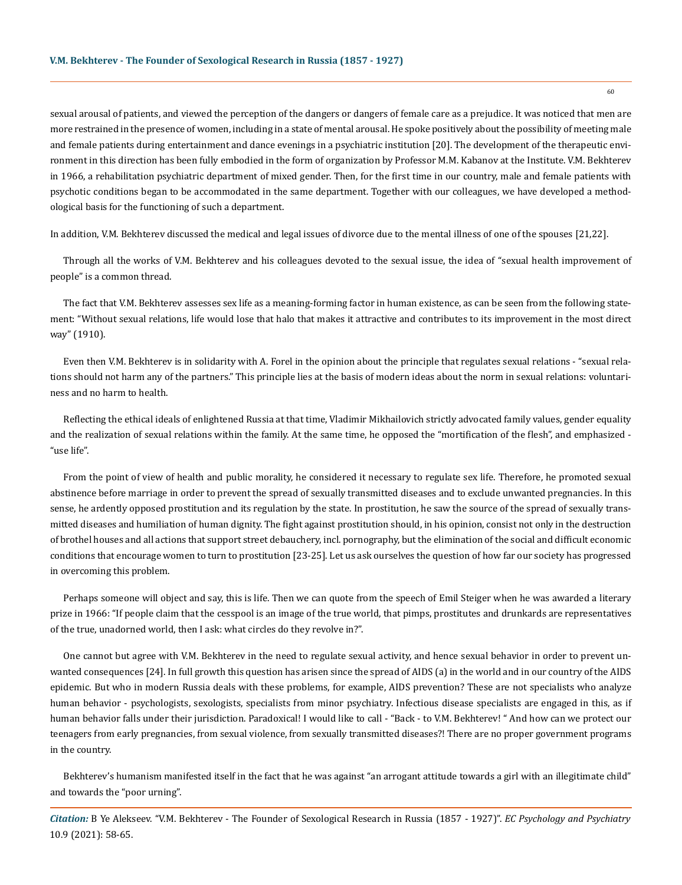sexual arousal of patients, and viewed the perception of the dangers or dangers of female care as a prejudice. It was noticed that men are more restrained in the presence of women, including in a state of mental arousal. He spoke positively about the possibility of meeting male and female patients during entertainment and dance evenings in a psychiatric institution [20]. The development of the therapeutic environment in this direction has been fully embodied in the form of organization by Professor M.M. Kabanov at the Institute. V.M. Bekhterev in 1966, a rehabilitation psychiatric department of mixed gender. Then, for the first time in our country, male and female patients with psychotic conditions began to be accommodated in the same department. Together with our colleagues, we have developed a methodological basis for the functioning of such a department.

In addition, V.M. Bekhterev discussed the medical and legal issues of divorce due to the mental illness of one of the spouses [21,22].

Through all the works of V.M. Bekhterev and his colleagues devoted to the sexual issue, the idea of "sexual health improvement of people" is a common thread.

The fact that V.M. Bekhterev assesses sex life as a meaning-forming factor in human existence, as can be seen from the following statement: "Without sexual relations, life would lose that halo that makes it attractive and contributes to its improvement in the most direct way" (1910).

Even then V.M. Bekhterev is in solidarity with A. Forel in the opinion about the principle that regulates sexual relations - "sexual relations should not harm any of the partners." This principle lies at the basis of modern ideas about the norm in sexual relations: voluntariness and no harm to health.

Reflecting the ethical ideals of enlightened Russia at that time, Vladimir Mikhailovich strictly advocated family values, gender equality and the realization of sexual relations within the family. At the same time, he opposed the "mortification of the flesh", and emphasized - "use life".

From the point of view of health and public morality, he considered it necessary to regulate sex life. Therefore, he promoted sexual abstinence before marriage in order to prevent the spread of sexually transmitted diseases and to exclude unwanted pregnancies. In this sense, he ardently opposed prostitution and its regulation by the state. In prostitution, he saw the source of the spread of sexually transmitted diseases and humiliation of human dignity. The fight against prostitution should, in his opinion, consist not only in the destruction of brothel houses and all actions that support street debauchery, incl. pornography, but the elimination of the social and difficult economic conditions that encourage women to turn to prostitution [23-25]. Let us ask ourselves the question of how far our society has progressed in overcoming this problem.

Perhaps someone will object and say, this is life. Then we can quote from the speech of Emil Steiger when he was awarded a literary prize in 1966: "If people claim that the cesspool is an image of the true world, that pimps, prostitutes and drunkards are representatives of the true, unadorned world, then I ask: what circles do they revolve in?".

One cannot but agree with V.M. Bekhterev in the need to regulate sexual activity, and hence sexual behavior in order to prevent unwanted consequences [24]. In full growth this question has arisen since the spread of AIDS (a) in the world and in our country of the AIDS epidemic. But who in modern Russia deals with these problems, for example, AIDS prevention? These are not specialists who analyze human behavior - psychologists, sexologists, specialists from minor psychiatry. Infectious disease specialists are engaged in this, as if human behavior falls under their jurisdiction. Paradoxical! I would like to call - "Back - to V.M. Bekhterev! " And how can we protect our teenagers from early pregnancies, from sexual violence, from sexually transmitted diseases?! There are no proper government programs in the country.

Bekhterev's humanism manifested itself in the fact that he was against "an arrogant attitude towards a girl with an illegitimate child" and towards the "poor urning".

*Citation:* B Ye Alekseev. "V.M. Bekhterev - The Founder of Sexological Research in Russia (1857 - 1927)". *EC Psychology and Psychiatry*  10.9 (2021): 58-65.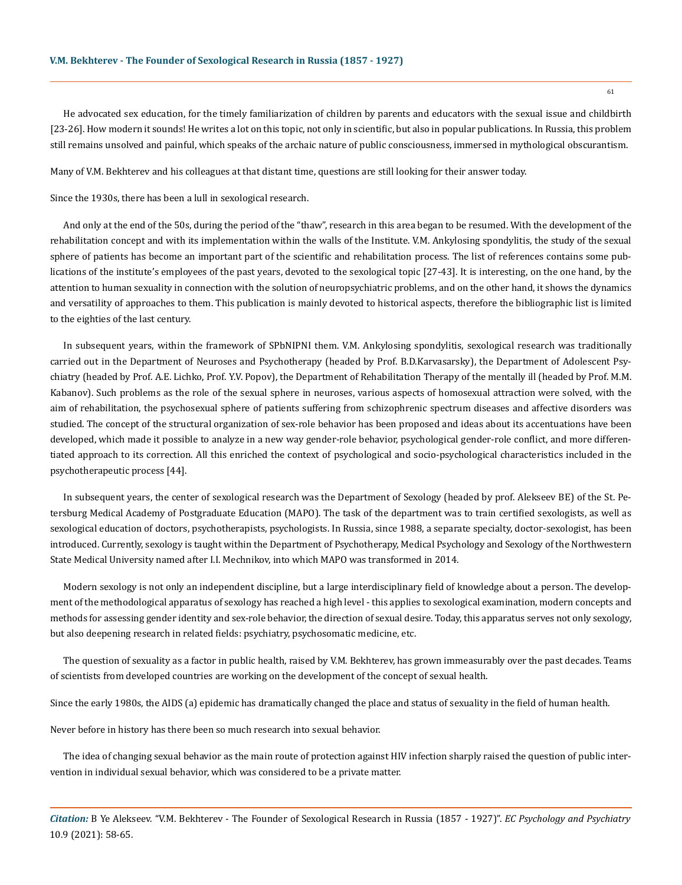He advocated sex education, for the timely familiarization of children by parents and educators with the sexual issue and childbirth [23-26]. How modern it sounds! He writes a lot on this topic, not only in scientific, but also in popular publications. In Russia, this problem still remains unsolved and painful, which speaks of the archaic nature of public consciousness, immersed in mythological obscurantism.

Many of V.M. Bekhterev and his colleagues at that distant time, questions are still looking for their answer today.

Since the 1930s, there has been a lull in sexological research.

And only at the end of the 50s, during the period of the "thaw", research in this area began to be resumed. With the development of the rehabilitation concept and with its implementation within the walls of the Institute. V.M. Ankylosing spondylitis, the study of the sexual sphere of patients has become an important part of the scientific and rehabilitation process. The list of references contains some publications of the institute's employees of the past years, devoted to the sexological topic [27-43]. It is interesting, on the one hand, by the attention to human sexuality in connection with the solution of neuropsychiatric problems, and on the other hand, it shows the dynamics and versatility of approaches to them. This publication is mainly devoted to historical aspects, therefore the bibliographic list is limited to the eighties of the last century.

In subsequent years, within the framework of SPbNIPNI them. V.M. Ankylosing spondylitis, sexological research was traditionally carried out in the Department of Neuroses and Psychotherapy (headed by Prof. B.D.Karvasarsky), the Department of Adolescent Psychiatry (headed by Prof. A.E. Lichko, Prof. Y.V. Popov), the Department of Rehabilitation Therapy of the mentally ill (headed by Prof. M.M. Kabanov). Such problems as the role of the sexual sphere in neuroses, various aspects of homosexual attraction were solved, with the aim of rehabilitation, the psychosexual sphere of patients suffering from schizophrenic spectrum diseases and affective disorders was studied. The concept of the structural organization of sex-role behavior has been proposed and ideas about its accentuations have been developed, which made it possible to analyze in a new way gender-role behavior, psychological gender-role conflict, and more differentiated approach to its correction. All this enriched the context of psychological and socio-psychological characteristics included in the psychotherapeutic process [44].

In subsequent years, the center of sexological research was the Department of Sexology (headed by prof. Alekseev BE) of the St. Petersburg Medical Academy of Postgraduate Education (MAPO). The task of the department was to train certified sexologists, as well as sexological education of doctors, psychotherapists, psychologists. In Russia, since 1988, a separate specialty, doctor-sexologist, has been introduced. Currently, sexology is taught within the Department of Psychotherapy, Medical Psychology and Sexology of the Northwestern State Medical University named after I.I. Mechnikov, into which MAPO was transformed in 2014.

Modern sexology is not only an independent discipline, but a large interdisciplinary field of knowledge about a person. The development of the methodological apparatus of sexology has reached a high level - this applies to sexological examination, modern concepts and methods for assessing gender identity and sex-role behavior, the direction of sexual desire. Today, this apparatus serves not only sexology, but also deepening research in related fields: psychiatry, psychosomatic medicine, etc.

The question of sexuality as a factor in public health, raised by V.M. Bekhterev, has grown immeasurably over the past decades. Teams of scientists from developed countries are working on the development of the concept of sexual health.

Since the early 1980s, the AIDS (a) epidemic has dramatically changed the place and status of sexuality in the field of human health.

Never before in history has there been so much research into sexual behavior.

The idea of changing sexual behavior as the main route of protection against HIV infection sharply raised the question of public intervention in individual sexual behavior, which was considered to be a private matter.

*Citation:* B Ye Alekseev. "V.M. Bekhterev - The Founder of Sexological Research in Russia (1857 - 1927)". *EC Psychology and Psychiatry*  10.9 (2021): 58-65.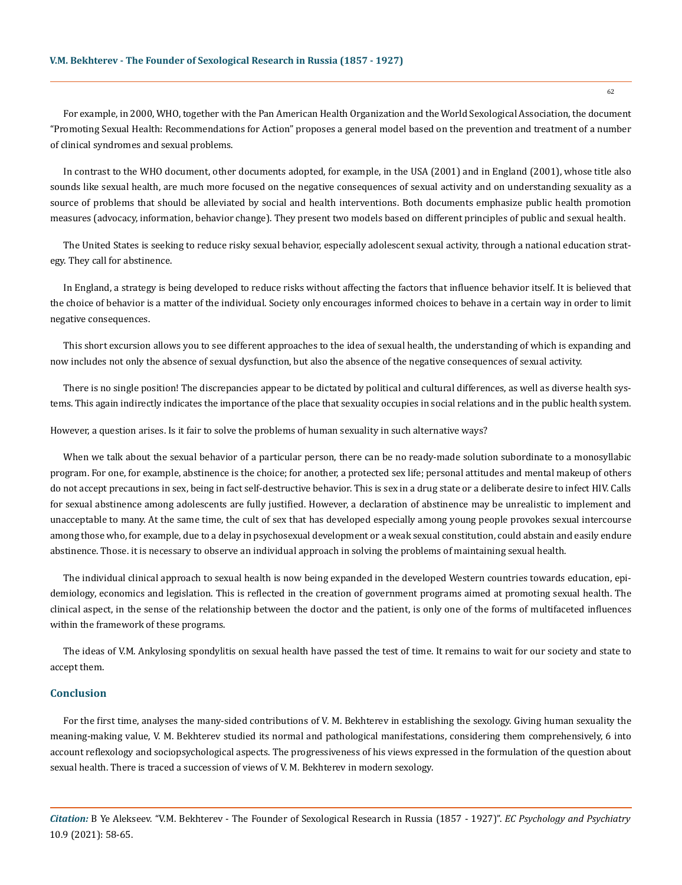For example, in 2000, WHO, together with the Pan American Health Organization and the World Sexological Association, the document "Promoting Sexual Health: Recommendations for Action" proposes a general model based on the prevention and treatment of a number of clinical syndromes and sexual problems.

In contrast to the WHO document, other documents adopted, for example, in the USA (2001) and in England (2001), whose title also sounds like sexual health, are much more focused on the negative consequences of sexual activity and on understanding sexuality as a source of problems that should be alleviated by social and health interventions. Both documents emphasize public health promotion measures (advocacy, information, behavior change). They present two models based on different principles of public and sexual health.

The United States is seeking to reduce risky sexual behavior, especially adolescent sexual activity, through a national education strategy. They call for abstinence.

In England, a strategy is being developed to reduce risks without affecting the factors that influence behavior itself. It is believed that the choice of behavior is a matter of the individual. Society only encourages informed choices to behave in a certain way in order to limit negative consequences.

This short excursion allows you to see different approaches to the idea of sexual health, the understanding of which is expanding and now includes not only the absence of sexual dysfunction, but also the absence of the negative consequences of sexual activity.

There is no single position! The discrepancies appear to be dictated by political and cultural differences, as well as diverse health systems. This again indirectly indicates the importance of the place that sexuality occupies in social relations and in the public health system.

However, a question arises. Is it fair to solve the problems of human sexuality in such alternative ways?

When we talk about the sexual behavior of a particular person, there can be no ready-made solution subordinate to a monosyllabic program. For one, for example, abstinence is the choice; for another, a protected sex life; personal attitudes and mental makeup of others do not accept precautions in sex, being in fact self-destructive behavior. This is sex in a drug state or a deliberate desire to infect HIV. Calls for sexual abstinence among adolescents are fully justified. However, a declaration of abstinence may be unrealistic to implement and unacceptable to many. At the same time, the cult of sex that has developed especially among young people provokes sexual intercourse among those who, for example, due to a delay in psychosexual development or a weak sexual constitution, could abstain and easily endure abstinence. Those. it is necessary to observe an individual approach in solving the problems of maintaining sexual health.

The individual clinical approach to sexual health is now being expanded in the developed Western countries towards education, epidemiology, economics and legislation. This is reflected in the creation of government programs aimed at promoting sexual health. The clinical aspect, in the sense of the relationship between the doctor and the patient, is only one of the forms of multifaceted influences within the framework of these programs.

The ideas of V.M. Ankylosing spondylitis on sexual health have passed the test of time. It remains to wait for our society and state to accept them.

#### **Conclusion**

For the first time, analyses the many-sided contributions of V. M. Bekhterev in establishing the sexology. Giving human sexuality the meaning-making value, V. M. Bekhterev studied its normal and pathological manifestations, considering them comprehensively, 6 into account reflexology and sociopsychological aspects. The progressiveness of his views expressed in the formulation of the question about sexual health. There is traced a succession of views of V. M. Bekhterev in modern sexology.

*Citation:* B Ye Alekseev. "V.M. Bekhterev - The Founder of Sexological Research in Russia (1857 - 1927)". *EC Psychology and Psychiatry*  10.9 (2021): 58-65.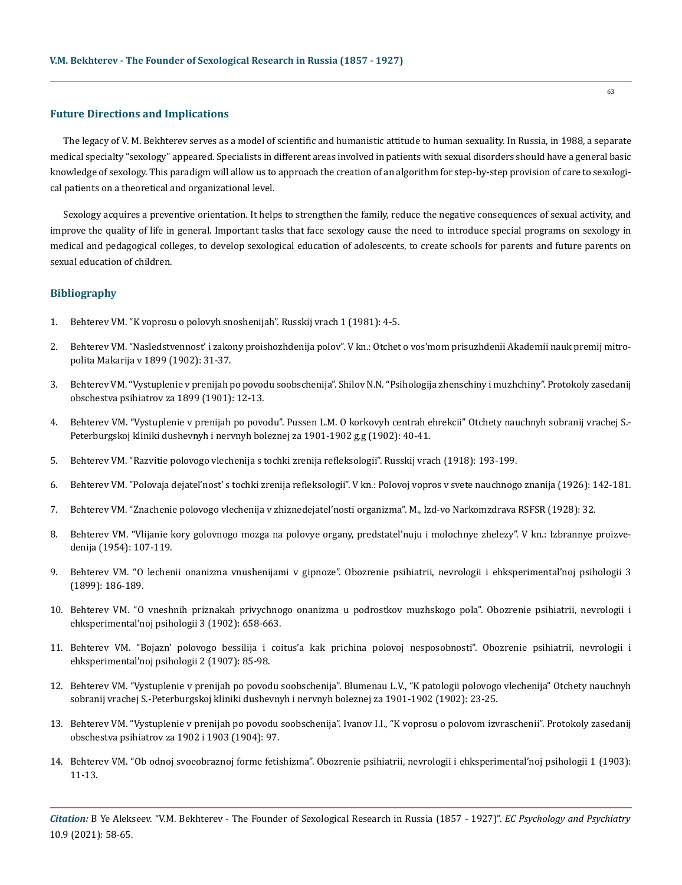## **Future Directions and Implications**

The legacy of V. M. Bekhterev serves as a model of scientific and humanistic attitude to human sexuality. In Russia, in 1988, a separate medical specialty "sexology" appeared. Specialists in different areas involved in patients with sexual disorders should have a general basic knowledge of sexology. This paradigm will allow us to approach the creation of an algorithm for step-by-step provision of care to sexological patients on a theoretical and organizational level.

Sexology acquires a preventive orientation. It helps to strengthen the family, reduce the negative consequences of sexual activity, and improve the quality of life in general. Important tasks that face sexology cause the need to introduce special programs on sexology in medical and pedagogical colleges, to develop sexological education of adolescents, to create schools for parents and future parents on sexual education of children.

## **Bibliography**

- 1. Behterev VM. "K voprosu o polovyh snoshenijah". Russkij vrach 1 (1981): 4-5.
- 2. Behterev VM. "Nasledstvennost' i zakony proishozhdenija polov". V kn.: Otchet o vos'mom prisuzhdenii Akademii nauk premij mitropolita Makarija v 1899 (1902): 31-37.
- 3. Behterev VM. "Vystuplenie v prenijah po povodu soobschenija". Shilov N.N. "Psihologija zhenschiny i muzhchiny". Protokoly zasedanij obschestva psihiatrov za 1899 (1901): 12-13.
- 4. Behterev VM. "Vystuplenie v prenijah po povodu". Pussen L.M. O korkovyh centrah ehrekcii" Otchety nauchnyh sobranij vrachej S.- Peterburgskoj kliniki dushevnyh i nervnyh boleznej za 1901-1902 g.g (1902): 40-41.
- 5. Behterev VM. "Razvitie polovogo vlechenija s tochki zrenija refleksologii". Russkij vrach (1918): 193-199.
- 6. Behterev VM. "Polovaja dejatel'nost' s tochki zrenija refleksologii". V kn.: Polovoj vopros v svete nauchnogo znanija (1926): 142-181.
- 7. Behterev VM. "Znachenie polovogo vlechenija v zhiznedejatel'nosti organizma". M., Izd-vo Narkomzdrava RSFSR (1928): 32.
- 8. Behterev VM. "Vlijanie kory golovnogo mozga na polovye organy, predstatel'nuju i molochnye zhelezy". V kn.: Izbrannye proizvedenija (1954): 107-119.
- 9. Behterev VM. "O lechenii onanizma vnushenijami v gipnoze". Obozrenie psihiatrii, nevrologii i ehksperimental'noj psihologii 3 (1899): 186-189.
- 10. Behterev VM. "O vneshnih priznakah privychnogo onanizma u podrostkov muzhskogo pola". Obozrenie psihiatrii, nevrologii i ehksperimental'noj psihologii 3 (1902): 658-663.
- 11. Behterev VM. "Bojazn' polovogo bessilija i coitus'a kak prichina polovoj nesposobnosti". Obozrenie psihiatrii, nevrologii i ehksperimental'noj psihologii 2 (1907): 85-98.
- 12. Behterev VM. "Vystuplenie v prenijah po povodu soobschenija". Blumenau L.V., "K patologii polovogo vlechenija" Otchety nauchnyh sobranij vrachej S.-Peterburgskoj kliniki dushevnyh i nervnyh boleznej za 1901-1902 (1902): 23-25.
- 13. Behterev VM. "Vystuplenie v prenijah po povodu soobschenija". Ivanov I.I., "K voprosu o polovom izvraschenii". Protokoly zasedanij obschestva psihiatrov za 1902 i 1903 (1904): 97.
- 14. Behterev VM. "Ob odnoj svoeobraznoj forme fetishizma". Obozrenie psihiatrii, nevrologii i ehksperimental'noj psihologii 1 (1903): 11-13.

*Citation:* B Ye Alekseev. "V.M. Bekhterev - The Founder of Sexological Research in Russia (1857 - 1927)". *EC Psychology and Psychiatry*  10.9 (2021): 58-65.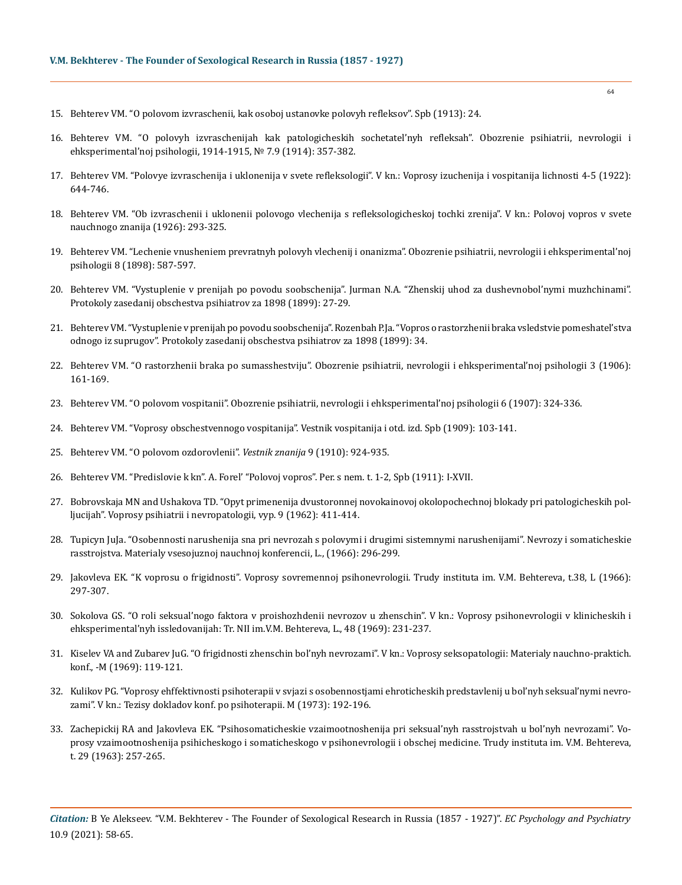- 15. Behterev VM. "O polovom izvraschenii, kak osoboj ustanovke polovyh refleksov". Spb (1913): 24.
- 16. Behterev VM. "O polovyh izvraschenijah kak patologicheskih sochetatel'nyh refleksah". Obozrenie psihiatrii, nevrologii i ehksperimental'noj psihologii, 1914-1915, № 7.9 (1914): 357-382.
- 17. Behterev VM. "Polovye izvraschenija i uklonenija v svete refleksologii". V kn.: Voprosy izuchenija i vospitanija lichnosti 4-5 (1922): 644-746.
- 18. Behterev VM. "Ob izvraschenii i uklonenii polovogo vlechenija s refleksologicheskoj tochki zrenija". V kn.: Polovoj vopros v svete nauchnogo znanija (1926): 293-325.
- 19. Behterev VM. "Lechenie vnusheniem prevratnyh polovyh vlechenij i onanizma". Obozrenie psihiatrii, nevrologii i ehksperimental'noj psihologii 8 (1898): 587-597.
- 20. Behterev VM. "Vystuplenie v prenijah po povodu soobschenija". Jurman N.A. "Zhenskij uhod za dushevnobol'nymi muzhchinami". Protokoly zasedanij obschestva psihiatrov za 1898 (1899): 27-29.
- 21. Behterev VM. "Vystuplenie v prenijah po povodu soobschenija". Rozenbah P.Ja. "Vopros o rastorzhenii braka vsledstvie pomeshatel'stva odnogo iz suprugov". Protokoly zasedanij obschestva psihiatrov za 1898 (1899): 34.
- 22. Behterev VM. "O rastorzhenii braka po sumasshestviju". Obozrenie psihiatrii, nevrologii i ehksperimental'noj psihologii 3 (1906): 161-169.
- 23. Behterev VM. "O polovom vospitanii". Obozrenie psihiatrii, nevrologii i ehksperimental'noj psihologii 6 (1907): 324-336.
- 24. Behterev VM. "Voprosy obschestvennogo vospitanija". Vestnik vospitanija i otd. izd. Spb (1909): 103-141.
- 25. Behterev VM. "O polovom ozdorovlenii". *Vestnik znanija* 9 (1910): 924-935.
- 26. Behterev VM. "Predislovie k kn". A. Forel' "Polovoj vopros". Per. s nem. t. 1-2, Spb (1911): I-XVII.
- 27. Bobrovskaja MN and Ushakova TD. "Opyt primenenija dvustoronnej novokainovoj okolopochechnoj blokady pri patologicheskih polljucijah". Voprosy psihiatrii i nevropatologii, vyp. 9 (1962): 411-414.
- 28. Tupicyn JuJa. "Osobennosti narushenija sna pri nevrozah s polovymi i drugimi sistemnymi narushenijami". Nevrozy i somaticheskie rasstrojstva. Materialy vsesojuznoj nauchnoj konferencii, L., (1966): 296-299.
- 29. Jakovleva EK. "K voprosu o frigidnosti". Voprosy sovremennoj psihonevrologii. Trudy instituta im. V.M. Behtereva, t.38, L (1966): 297-307.
- 30. Sokolova GS. "O roli seksual'nogo faktora v proishozhdenii nevrozov u zhenschin". V kn.: Voprosy psihonevrologii v klinicheskih i ehksperimental'nyh issledovanijah: Tr. NII im.V.M. Behtereva, L., 48 (1969): 231-237.
- 31. Kiselev VA and Zubarev JuG. "O frigidnosti zhenschin bol'nyh nevrozami". V kn.: Voprosy seksopatologii: Materialy nauchno-praktich. konf., -M (1969): 119-121.
- 32. Kulikov PG. "Voprosy ehffektivnosti psihoterapii v svjazi s osobennostjami ehroticheskih predstavlenij u bol'nyh seksual'nymi nevrozami". V kn.: Tezisy dokladov konf. po psihoterapii. M (1973): 192-196.
- 33. Zachepickij RA and Jakovleva EK. "Psihosomaticheskie vzaimootnoshenija pri seksual'nyh rasstrojstvah u bol'nyh nevrozami". Voprosy vzaimootnoshenija psihicheskogo i somaticheskogo v psihonevrologii i obschej medicine. Trudy instituta im. V.M. Behtereva, t. 29 (1963): 257-265.